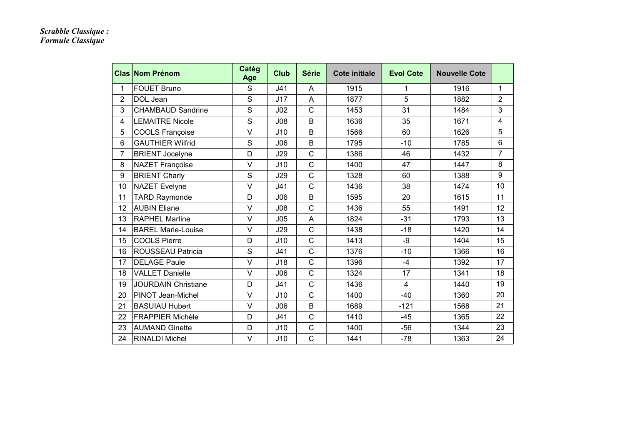## *Scrabble Classique : Formule Classique*

|                | <b>Clas Nom Prénom</b>     | Catég<br>Age | <b>Club</b>     | <b>Série</b>   | Cote initiale | <b>Evol Cote</b> | <b>Nouvelle Cote</b> |                |
|----------------|----------------------------|--------------|-----------------|----------------|---------------|------------------|----------------------|----------------|
| 1              | <b>FOUET Bruno</b>         | S            | J41             | $\overline{A}$ | 1915          | 1                | 1916                 | 1              |
| $\overline{2}$ | DOL Jean                   | S            | J17             | A              | 1877          | 5                | 1882                 | $\overline{2}$ |
| 3              | <b>CHAMBAUD Sandrine</b>   | S            | J <sub>02</sub> | $\mathsf{C}$   | 1453          | 31               | 1484                 | 3              |
| 4              | <b>LEMAITRE Nicole</b>     | $\mathsf{S}$ | J <sub>08</sub> | B              | 1636          | 35               | 1671                 | 4              |
| 5              | <b>COOLS Françoise</b>     | $\vee$       | J10             | B              | 1566          | 60               | 1626                 | 5              |
| 6              | <b>GAUTHIER Wilfrid</b>    | S            | J06             | B              | 1795          | $-10$            | 1785                 | 6              |
| 7              | <b>BRIENT Jocelyne</b>     | D            | <b>J29</b>      | $\mathsf{C}$   | 1386          | 46               | 1432                 | $\overline{7}$ |
| 8              | <b>NAZET Françoise</b>     | $\vee$       | J10             | $\mathsf{C}$   | 1400          | 47               | 1447                 | 8              |
| 9              | <b>BRIENT Charly</b>       | S            | <b>J29</b>      | $\overline{C}$ | 1328          | 60               | 1388                 | 9              |
| 10             | <b>NAZET Evelyne</b>       | $\vee$       | J41             | $\overline{C}$ | 1436          | 38               | 1474                 | 10             |
| 11             | <b>TARD Raymonde</b>       | D            | J06             | B              | 1595          | 20               | 1615                 | 11             |
| 12             | <b>AUBIN Eliane</b>        | $\vee$       | J08             | $\mathsf{C}$   | 1436          | 55               | 1491                 | 12             |
| 13             | <b>RAPHEL Martine</b>      | $\vee$       | J05             | A              | 1824          | $-31$            | 1793                 | 13             |
| 14             | <b>BAREL Marie-Louise</b>  | $\vee$       | J29             | $\mathsf{C}$   | 1438          | $-18$            | 1420                 | 14             |
| 15             | <b>COOLS Pierre</b>        | D            | J10             | $\mathsf{C}$   | 1413          | $-9$             | 1404                 | 15             |
| 16             | <b>ROUSSEAU Patricia</b>   | $\mathsf{S}$ | J41             | $\mathsf{C}$   | 1376          | $-10$            | 1366                 | 16             |
| 17             | <b>DELAGE Paule</b>        | $\vee$       | J18             | $\overline{C}$ | 1396          | $-4$             | 1392                 | 17             |
| 18             | <b>VALLET Danielle</b>     | $\vee$       | J06             | $\mathsf{C}$   | 1324          | 17               | 1341                 | 18             |
| 19             | <b>JOURDAIN Christiane</b> | D            | J41             | $\mathsf{C}$   | 1436          | $\overline{4}$   | 1440                 | 19             |
| 20             | PINOT Jean-Michel          | $\vee$       | J10             | $\mathsf{C}$   | 1400          | $-40$            | 1360                 | 20             |
| 21             | <b>BASUIAU Hubert</b>      | $\vee$       | J06             | B              | 1689          | $-121$           | 1568                 | 21             |
| 22             | <b>FRAPPIER Michèle</b>    | D            | J41             | $\mathsf{C}$   | 1410          | $-45$            | 1365                 | 22             |
| 23             | <b>AUMAND Ginette</b>      | D            | J10             | $\mathsf{C}$   | 1400          | $-56$            | 1344                 | 23             |
| 24             | <b>RINALDI Michel</b>      | $\vee$       | J10             | $\overline{C}$ | 1441          | $-78$            | 1363                 | 24             |